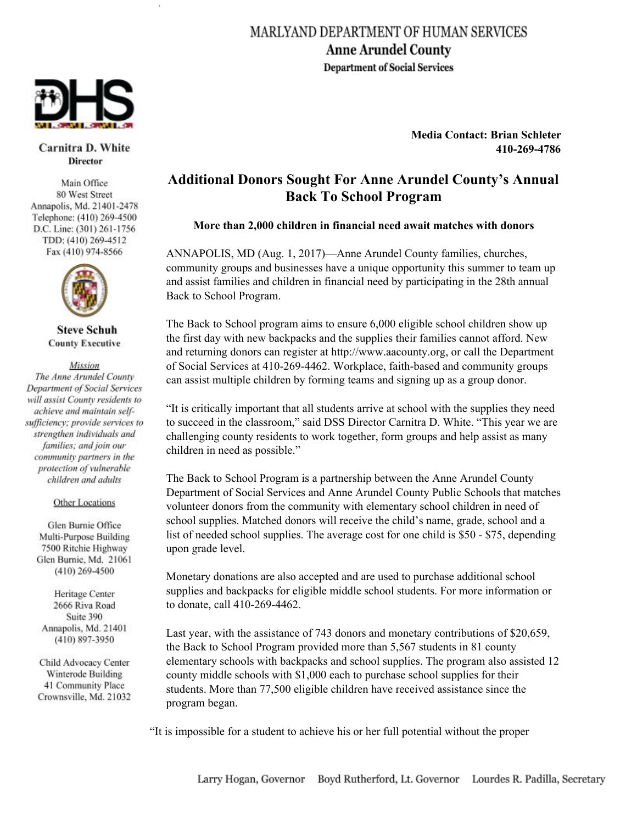## MARLYAND DEPARTMENT OF HUMAN SERVICES **Anne Arundel County Department of Social Services**



Carnitra D. White **Director** 

Main Office 80 West Street Annapolis, Md. 21401-2478 Telephone: (410) 269-4500 D.C. Line: (301) 261-1756 TDD: (410) 269-4512 Fax (410) 974-8566



**Steve Schuh County Executive** 

Mission The Anne Arundel County **Department of Social Services** will assist County residents to achieve and maintain selfsufficiency; provide services to strengthen individuals and families; and join our community partners in the protection of vulnerable children and adults

## **Other Locations**

Glen Burnie Office Multi-Purpose Building 7500 Ritchie Highway Glen Burnie, Md. 21061  $(410)$  269-4500

Heritage Center 2666 Riva Road Suite 390 Annapolis, Md. 21401 (410) 897-3950

Child Advocacy Center Winterode Building 41 Community Place Crownsville, Md. 21032 **Media Contact: Brian Schleter 410-269-4786**

## **Additional Donors Sought For Anne Arundel County's Annual Back To School Program**

## **More than 2,000 children in financial need await matches with donors**

ANNAPOLIS, MD (Aug. 1, 2017)—Anne Arundel County families, churches, community groups and businesses have a unique opportunity this summer to team up and assist families and children in financial need by participating in the 28th annual Back to School Program.

The Back to School program aims to ensure 6,000 eligible school children show up the first day with new backpacks and the supplies their families cannot afford. New and returning donors can register at http://www.aacounty.org, or call the Department of Social Services at 410-269-4462. Workplace, faith-based and community groups can assist multiple children by forming teams and signing up as a group donor.

"It is critically important that all students arrive at school with the supplies they need to succeed in the classroom," said DSS Director Carnitra D. White. "This year we are challenging county residents to work together, form groups and help assist as many children in need as possible."

The Back to School Program is a partnership between the Anne Arundel County Department of Social Services and Anne Arundel County Public Schools that matches volunteer donors from the community with elementary school children in need of school supplies. Matched donors will receive the child's name, grade, school and a list of needed school supplies. The average cost for one child is \$50 - \$75, depending upon grade level.

Monetary donations are also accepted and are used to purchase additional school supplies and backpacks for eligible middle school students. For more information or to donate, call 410-269-4462.

Last year, with the assistance of 743 donors and monetary contributions of \$20,659, the Back to School Program provided more than 5,567 students in 81 county elementary schools with backpacks and school supplies. The program also assisted 12 county middle schools with \$1,000 each to purchase school supplies for their students. More than 77,500 eligible children have received assistance since the program began.

"It is impossible for a student to achieve his or her full potential without the proper